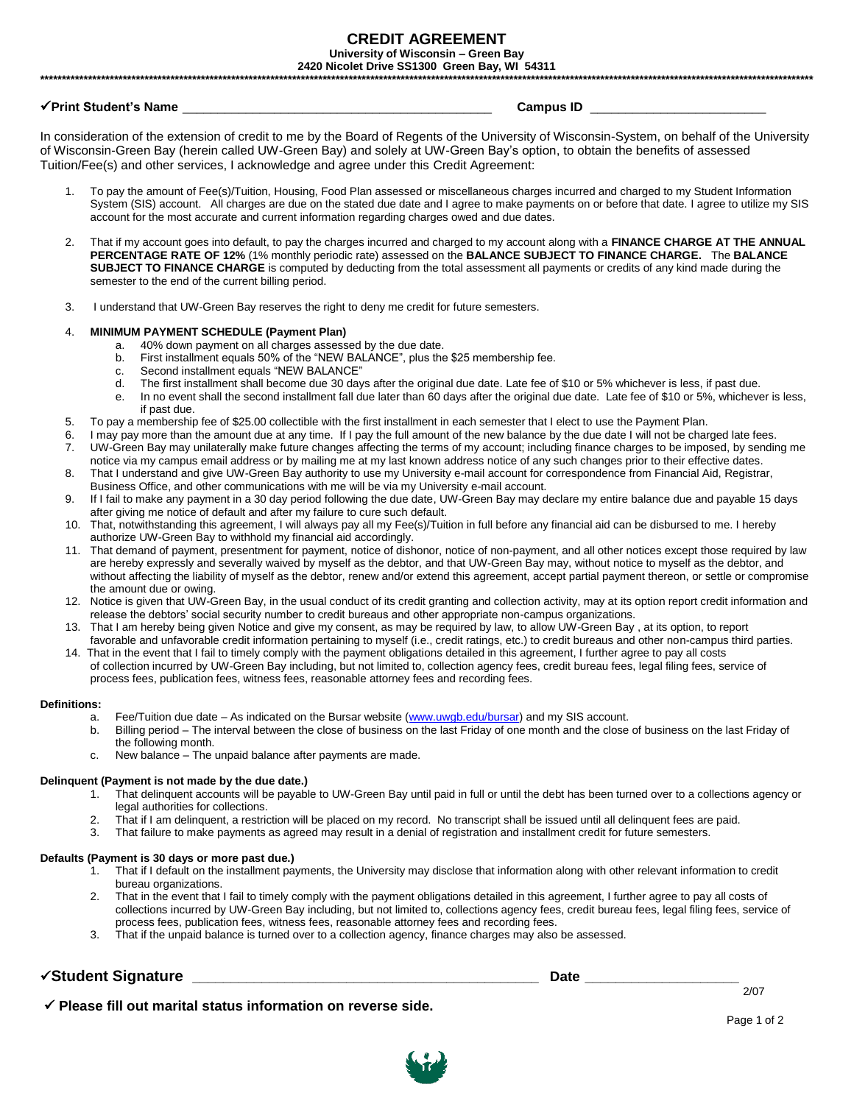### **CREDIT AGREEMENT** University of Wisconsin - Green Bay

2420 Nicolet Drive SS1300 Green Bay, WI 54311

### √Print Student's Name \_\_\_\_\_\_\_\_\_\_\_

### Campus ID \_\_\_\_\_\_\_\_\_

In consideration of the extension of credit to me by the Board of Regents of the University of Wisconsin-System, on behalf of the University of Wisconsin-Green Bay (herein called UW-Green Bay) and solely at UW-Green Bay's option, to obtain the benefits of assessed Tuition/Fee(s) and other services, I acknowledge and agree under this Credit Agreement:

- To pay the amount of Fee(s)/Tuition, Housing, Food Plan assessed or miscellaneous charges incurred and charged to my Student Information System (SIS) account. All charges are due on the stated due date and I agree to make payments on or before that date. I agree to utilize my SIS account for the most accurate and current information regarding charges owed and due dates.
- 2. That if my account goes into default, to pay the charges incurred and charged to my account along with a FINANCE CHARGE AT THE ANNUAL PERCENTAGE RATE OF 12% (1% monthly periodic rate) assessed on the BALANCE SUBJECT TO FINANCE CHARGE. The BALANCE SUBJECT TO FINANCE CHARGE is computed by deducting from the total assessment all payments or credits of any kind made during the semester to the end of the current billing period.
- I understand that UW-Green Bay reserves the right to deny me credit for future semesters.  $\overline{3}$ .

#### $\overline{4}$ **MINIMUM PAYMENT SCHEDULE (Payment Plan)**

- a. 40% down payment on all charges assessed by the due date.
- $h$ First installment equals 50% of the "NEW BALANCE", plus the \$25 membership fee.
- Second installment equals "NEW BALANCE" C.
- The first installment shall become due 30 days after the original due date. Late fee of \$10 or 5% whichever is less, if past due.  $d_{\cdot}$
- In no event shall the second installment fall due later than 60 days after the original due date. Late fee of \$10 or 5%, whichever is less,  $\mathsf{e}$ if past due.
- 5. To pay a membership fee of \$25.00 collectible with the first installment in each semester that I elect to use the Payment Plan.
- I may pay more than the amount due at any time. If I pay the full amount of the new balance by the due date I will not be charged late fees. 6.
- 7. UW-Green Bay may unilaterally make future changes affecting the terms of my account; including finance charges to be imposed, by sending me notice via my campus email address or by mailing me at my last known address notice of any such changes prior to their effective dates.
- That I understand and give UW-Green Bay authority to use my University e-mail account for correspondence from Financial Aid, Registrar, 8. Business Office, and other communications with me will be via my University e-mail account.
- 9. If I fail to make any payment in a 30 day period following the due date, UW-Green Bay may declare my entire balance due and payable 15 days after giving me notice of default and after my failure to cure such default.
- 10. That, notwithstanding this agreement, I will always pay all my Fee(s)/Tuition in full before any financial aid can be disbursed to me. I hereby authorize UW-Green Bay to withhold my financial aid accordingly.
- 11. That demand of payment, presentment for payment, notice of dishonor, notice of non-payment, and all other notices except those required by law are hereby expressly and severally waived by myself as the debtor, and that UW-Green Bay may, without notice to myself as the debtor, and without affecting the liability of myself as the debtor, renew and/or extend this agreement, accept partial payment thereon, or settle or compromise the amount due or owing.
- 12. Notice is given that UW-Green Bay, in the usual conduct of its credit granting and collection activity, may at its option report credit information and release the debtors' social security number to credit bureaus and other appropriate non-campus organizations.
- 13. That I am hereby being given Notice and give my consent, as may be required by law, to allow UW-Green Bay, at its option, to report favorable and unfavorable credit information pertaining to myself (i.e., credit ratings, etc.) to credit bureaus and other non-campus third parties.
- 14. That in the event that I fail to timely comply with the payment obligations detailed in this agreement, I further agree to pay all costs of collection incurred by UW-Green Bay including, but not limited to, collection agency fees, credit bureau fees, legal filing fees, service of process fees, publication fees, witness fees, reasonable attorney fees and recording fees.

#### **Definitions:**

- Fee/Tuition due date As indicated on the Bursar website (www.uwgb.edu/bursar) and my SIS account. a.
- Billing period The interval between the close of business on the last Friday of one month and the close of business on the last Friday of  $h_{-}$ the following month.
- New balance The unpaid balance after payments are made.  $C<sub>1</sub>$

#### Delinquent (Payment is not made by the due date.)

- That delinguent accounts will be payable to UW-Green Bay until paid in full or until the debt has been turned over to a collections agency or  $1<sup>1</sup>$ legal authorities for collections.
- 2. That if I am delinquent, a restriction will be placed on my record. No transcript shall be issued until all delinquent fees are paid.
- $3<sub>l</sub>$ That failure to make payments as agreed may result in a denial of registration and installment credit for future semesters.

#### Defaults (Payment is 30 days or more past due.)

- $1.$ That if I default on the installment payments, the University may disclose that information along with other relevant information to credit bureau organizations.
- That in the event that I fail to timely comply with the payment obligations detailed in this agreement, I further agree to pay all costs of  $\mathcal{P}$ collections incurred by UW-Green Bay including, but not limited to, collections agency fees, credit bureau fees, legal filing fees, service of process fees, publication fees, witness fees, reasonable attorney fees and recording fees.
- That if the unpaid balance is turned over to a collection agency, finance charges may also be assessed.

# VStudent Signature <u>Valley and the Community of Student Signature</u>

Date  $\qquad$ 

✔ Please fill out marital status information on reverse side.

 $2/07$